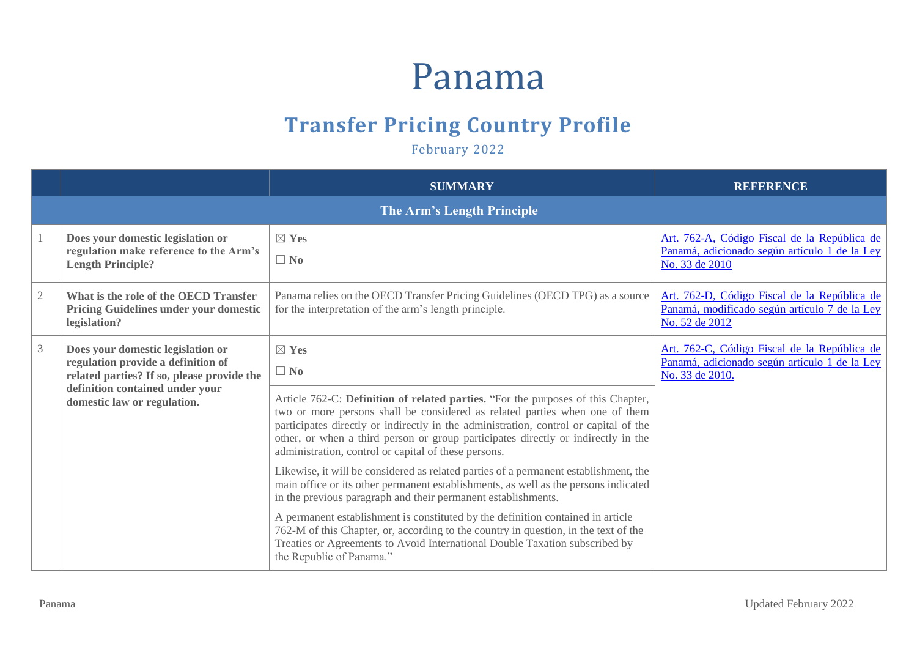## Panama

## **Transfer Pricing Country Profile**

February 2022

|                |                                                                                                                                                                                         | <b>SUMMARY</b>                                                                                                                                                                                                                                                                                                                                                                                                                                                                                                                                                                                                                                                                                                                                                                                                                                                 | <b>REFERENCE</b>                                                                                                 |
|----------------|-----------------------------------------------------------------------------------------------------------------------------------------------------------------------------------------|----------------------------------------------------------------------------------------------------------------------------------------------------------------------------------------------------------------------------------------------------------------------------------------------------------------------------------------------------------------------------------------------------------------------------------------------------------------------------------------------------------------------------------------------------------------------------------------------------------------------------------------------------------------------------------------------------------------------------------------------------------------------------------------------------------------------------------------------------------------|------------------------------------------------------------------------------------------------------------------|
|                |                                                                                                                                                                                         | The Arm's Length Principle                                                                                                                                                                                                                                                                                                                                                                                                                                                                                                                                                                                                                                                                                                                                                                                                                                     |                                                                                                                  |
|                | Does your domestic legislation or<br>regulation make reference to the Arm's<br><b>Length Principle?</b>                                                                                 | $\boxtimes$ Yes<br>$\Box$ No                                                                                                                                                                                                                                                                                                                                                                                                                                                                                                                                                                                                                                                                                                                                                                                                                                   | Art. 762-A, Código Fiscal de la República de<br>Panamá, adicionado según artículo 1 de la Ley<br>No. 33 de 2010  |
| $\mathfrak{2}$ | What is the role of the OECD Transfer<br><b>Pricing Guidelines under your domestic</b><br>legislation?                                                                                  | Panama relies on the OECD Transfer Pricing Guidelines (OECD TPG) as a source<br>for the interpretation of the arm's length principle.                                                                                                                                                                                                                                                                                                                                                                                                                                                                                                                                                                                                                                                                                                                          | Art. 762-D, Código Fiscal de la República de<br>Panamá, modificado según artículo 7 de la Ley<br>No. 52 de 2012  |
| 3              | Does your domestic legislation or<br>regulation provide a definition of<br>related parties? If so, please provide the<br>definition contained under your<br>domestic law or regulation. | $\boxtimes$ Yes<br>$\Box$ No<br>Article 762-C: Definition of related parties. "For the purposes of this Chapter,<br>two or more persons shall be considered as related parties when one of them<br>participates directly or indirectly in the administration, control or capital of the<br>other, or when a third person or group participates directly or indirectly in the<br>administration, control or capital of these persons.<br>Likewise, it will be considered as related parties of a permanent establishment, the<br>main office or its other permanent establishments, as well as the persons indicated<br>in the previous paragraph and their permanent establishments.<br>A permanent establishment is constituted by the definition contained in article<br>762-M of this Chapter, or, according to the country in question, in the text of the | Art. 762-C, Código Fiscal de la República de<br>Panamá, adicionado según artículo 1 de la Ley<br>No. 33 de 2010. |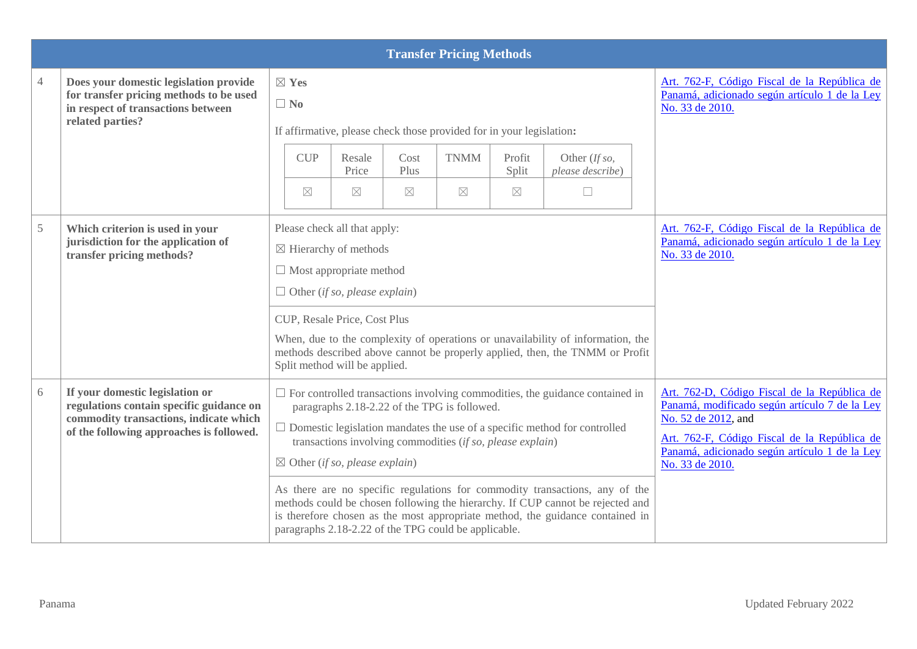|                |                                                                                                                                                                   |                                                                                                                                                                                                                                                                                                                                                                                                                                                                                                                                                                                                                                              |                                                                                                                                                                                                             |                             | <b>Transfer Pricing Methods</b>                                                                                                                                                                                                          |                                |                                                                                                                                                                 |                                                                                                                  |
|----------------|-------------------------------------------------------------------------------------------------------------------------------------------------------------------|----------------------------------------------------------------------------------------------------------------------------------------------------------------------------------------------------------------------------------------------------------------------------------------------------------------------------------------------------------------------------------------------------------------------------------------------------------------------------------------------------------------------------------------------------------------------------------------------------------------------------------------------|-------------------------------------------------------------------------------------------------------------------------------------------------------------------------------------------------------------|-----------------------------|------------------------------------------------------------------------------------------------------------------------------------------------------------------------------------------------------------------------------------------|--------------------------------|-----------------------------------------------------------------------------------------------------------------------------------------------------------------|------------------------------------------------------------------------------------------------------------------|
| $\overline{4}$ | Does your domestic legislation provide<br>for transfer pricing methods to be used<br>in respect of transactions between<br>related parties?                       | $\boxtimes$ Yes<br>$\Box$ No<br>If affirmative, please check those provided for in your legislation:                                                                                                                                                                                                                                                                                                                                                                                                                                                                                                                                         |                                                                                                                                                                                                             |                             |                                                                                                                                                                                                                                          |                                |                                                                                                                                                                 | Art. 762-F, Código Fiscal de la República de<br>Panamá, adicionado según artículo 1 de la Ley<br>No. 33 de 2010. |
|                |                                                                                                                                                                   | <b>CUP</b><br>$\boxtimes$                                                                                                                                                                                                                                                                                                                                                                                                                                                                                                                                                                                                                    | Resale<br>Price<br>$\boxtimes$                                                                                                                                                                              | Cost<br>Plus<br>$\boxtimes$ | <b>TNMM</b><br>$\boxtimes$                                                                                                                                                                                                               | Profit<br>Split<br>$\boxtimes$ | Other (If so,<br>please describe)<br>$\Box$                                                                                                                     |                                                                                                                  |
| 5              | Which criterion is used in your<br>jurisdiction for the application of<br>transfer pricing methods?                                                               |                                                                                                                                                                                                                                                                                                                                                                                                                                                                                                                                                                                                                                              | Please check all that apply:<br>$\boxtimes$ Hierarchy of methods<br>$\Box$ Most appropriate method<br>$\Box$ Other (if so, please explain)<br>CUP, Resale Price, Cost Plus<br>Split method will be applied. |                             |                                                                                                                                                                                                                                          |                                | When, due to the complexity of operations or unavailability of information, the<br>methods described above cannot be properly applied, then, the TNMM or Profit | Art. 762-F, Código Fiscal de la República de<br>Panamá, adicionado según artículo 1 de la Ley<br>No. 33 de 2010. |
| 6              | If your domestic legislation or<br>regulations contain specific guidance on<br>commodity transactions, indicate which<br>of the following approaches is followed. | $\Box$ For controlled transactions involving commodities, the guidance contained in<br>paragraphs 2.18-2.22 of the TPG is followed.<br>$\Box$ Domestic legislation mandates the use of a specific method for controlled<br>transactions involving commodities (if so, please explain)<br>$\boxtimes$ Other (if so, please explain)<br>As there are no specific regulations for commodity transactions, any of the<br>methods could be chosen following the hierarchy. If CUP cannot be rejected and<br>is therefore chosen as the most appropriate method, the guidance contained in<br>paragraphs 2.18-2.22 of the TPG could be applicable. |                                                                                                                                                                                                             |                             | Art. 762-D, Código Fiscal de la República de<br>Panamá, modificado según artículo 7 de la Ley<br>No. 52 de 2012, and<br>Art. 762-F, Código Fiscal de la República de<br>Panamá, adicionado según artículo 1 de la Ley<br>No. 33 de 2010. |                                |                                                                                                                                                                 |                                                                                                                  |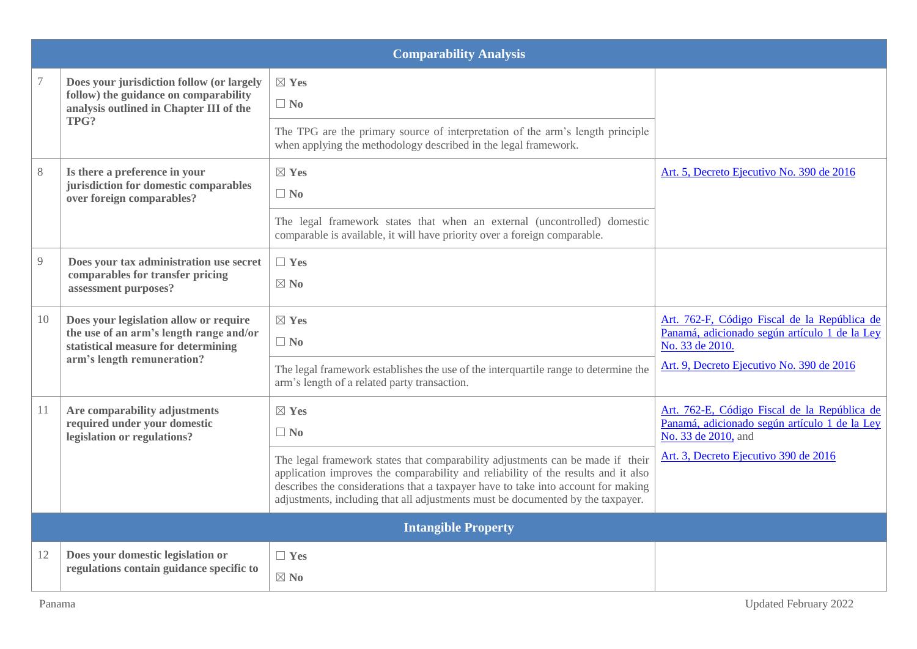|    | <b>Comparability Analysis</b>                                                                                                                          |                                                                                                                                                                                                                                                                                                                                             |                                                                                                                      |  |  |  |  |  |
|----|--------------------------------------------------------------------------------------------------------------------------------------------------------|---------------------------------------------------------------------------------------------------------------------------------------------------------------------------------------------------------------------------------------------------------------------------------------------------------------------------------------------|----------------------------------------------------------------------------------------------------------------------|--|--|--|--|--|
|    | Does your jurisdiction follow (or largely<br>follow) the guidance on comparability<br>analysis outlined in Chapter III of the                          | $\boxtimes$ Yes<br>$\Box$ No                                                                                                                                                                                                                                                                                                                |                                                                                                                      |  |  |  |  |  |
|    | TPG?                                                                                                                                                   | The TPG are the primary source of interpretation of the arm's length principle<br>when applying the methodology described in the legal framework.                                                                                                                                                                                           |                                                                                                                      |  |  |  |  |  |
| 8  | Is there a preference in your<br>jurisdiction for domestic comparables<br>over foreign comparables?                                                    | $\boxtimes$ Yes<br>$\Box$ No                                                                                                                                                                                                                                                                                                                | Art. 5, Decreto Ejecutivo No. 390 de 2016                                                                            |  |  |  |  |  |
|    |                                                                                                                                                        | The legal framework states that when an external (uncontrolled) domestic<br>comparable is available, it will have priority over a foreign comparable.                                                                                                                                                                                       |                                                                                                                      |  |  |  |  |  |
| 9  | Does your tax administration use secret<br>comparables for transfer pricing<br>assessment purposes?                                                    | $\Box$ Yes<br>$\boxtimes$ No                                                                                                                                                                                                                                                                                                                |                                                                                                                      |  |  |  |  |  |
| 10 | Does your legislation allow or require<br>the use of an arm's length range and/or<br>statistical measure for determining<br>arm's length remuneration? | $\boxtimes$ Yes<br>$\Box$ No                                                                                                                                                                                                                                                                                                                | Art. 762-F, Código Fiscal de la República de<br>Panamá, adicionado según artículo 1 de la Ley<br>No. 33 de 2010.     |  |  |  |  |  |
|    |                                                                                                                                                        | The legal framework establishes the use of the interquartile range to determine the<br>arm's length of a related party transaction.                                                                                                                                                                                                         | Art. 9, Decreto Ejecutivo No. 390 de 2016                                                                            |  |  |  |  |  |
| 11 | Are comparability adjustments<br>required under your domestic<br>legislation or regulations?                                                           | $\boxtimes$ Yes<br>$\Box$ No                                                                                                                                                                                                                                                                                                                | Art. 762-E, Código Fiscal de la República de<br>Panamá, adicionado según artículo 1 de la Ley<br>No. 33 de 2010, and |  |  |  |  |  |
|    |                                                                                                                                                        | The legal framework states that comparability adjustments can be made if their<br>application improves the comparability and reliability of the results and it also<br>describes the considerations that a taxpayer have to take into account for making<br>adjustments, including that all adjustments must be documented by the taxpayer. | Art. 3, Decreto Ejecutivo 390 de 2016                                                                                |  |  |  |  |  |
|    |                                                                                                                                                        | <b>Intangible Property</b>                                                                                                                                                                                                                                                                                                                  |                                                                                                                      |  |  |  |  |  |
| 12 | Does your domestic legislation or<br>regulations contain guidance specific to                                                                          | $\Box$ Yes<br>$\boxtimes$ No                                                                                                                                                                                                                                                                                                                |                                                                                                                      |  |  |  |  |  |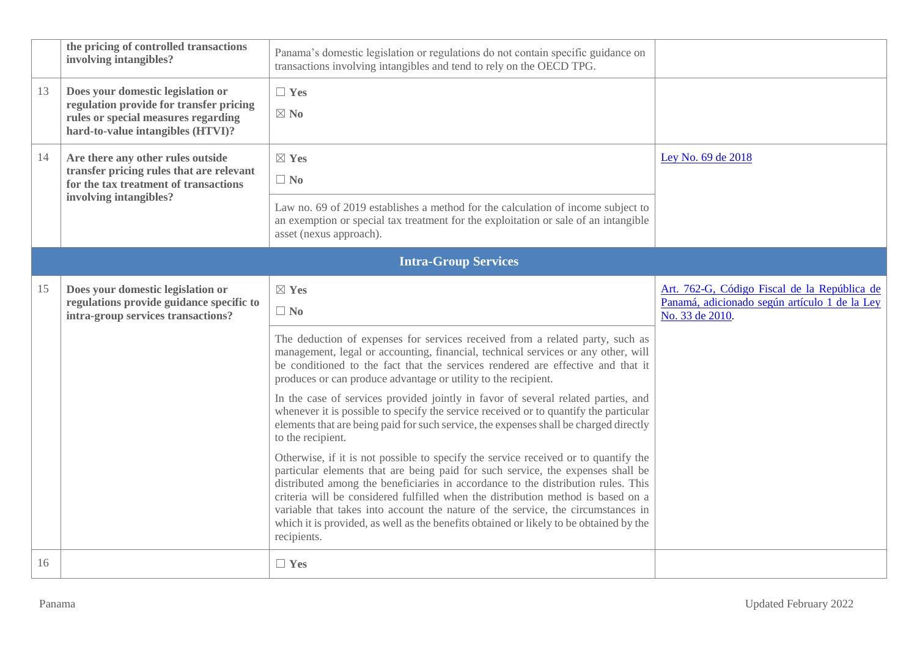|    | the pricing of controlled transactions<br>involving intangibles?                                                                                         | Panama's domestic legislation or regulations do not contain specific guidance on<br>transactions involving intangibles and tend to rely on the OECD TPG.                                                                                                                                                                                                                                                                                                                                                                                     |                                                                                                                  |
|----|----------------------------------------------------------------------------------------------------------------------------------------------------------|----------------------------------------------------------------------------------------------------------------------------------------------------------------------------------------------------------------------------------------------------------------------------------------------------------------------------------------------------------------------------------------------------------------------------------------------------------------------------------------------------------------------------------------------|------------------------------------------------------------------------------------------------------------------|
| 13 | Does your domestic legislation or<br>regulation provide for transfer pricing<br>rules or special measures regarding<br>hard-to-value intangibles (HTVI)? | $\Box$ Yes<br>$\boxtimes$ No                                                                                                                                                                                                                                                                                                                                                                                                                                                                                                                 |                                                                                                                  |
| 14 | Are there any other rules outside<br>transfer pricing rules that are relevant<br>for the tax treatment of transactions                                   | $\boxtimes$ Yes<br>$\Box$ No                                                                                                                                                                                                                                                                                                                                                                                                                                                                                                                 | Ley No. 69 de 2018                                                                                               |
|    | involving intangibles?                                                                                                                                   | Law no. 69 of 2019 establishes a method for the calculation of income subject to<br>an exemption or special tax treatment for the exploitation or sale of an intangible<br>asset (nexus approach).                                                                                                                                                                                                                                                                                                                                           |                                                                                                                  |
|    |                                                                                                                                                          | <b>Intra-Group Services</b>                                                                                                                                                                                                                                                                                                                                                                                                                                                                                                                  |                                                                                                                  |
| 15 | Does your domestic legislation or<br>regulations provide guidance specific to<br>intra-group services transactions?                                      | $\boxtimes$ Yes<br>$\Box$ No                                                                                                                                                                                                                                                                                                                                                                                                                                                                                                                 | Art. 762-G, Código Fiscal de la República de<br>Panamá, adicionado según artículo 1 de la Ley<br>No. 33 de 2010. |
|    |                                                                                                                                                          | The deduction of expenses for services received from a related party, such as<br>management, legal or accounting, financial, technical services or any other, will<br>be conditioned to the fact that the services rendered are effective and that it<br>produces or can produce advantage or utility to the recipient.                                                                                                                                                                                                                      |                                                                                                                  |
|    |                                                                                                                                                          | In the case of services provided jointly in favor of several related parties, and<br>whenever it is possible to specify the service received or to quantify the particular<br>elements that are being paid for such service, the expenses shall be charged directly<br>to the recipient.                                                                                                                                                                                                                                                     |                                                                                                                  |
|    |                                                                                                                                                          | Otherwise, if it is not possible to specify the service received or to quantify the<br>particular elements that are being paid for such service, the expenses shall be<br>distributed among the beneficiaries in accordance to the distribution rules. This<br>criteria will be considered fulfilled when the distribution method is based on a<br>variable that takes into account the nature of the service, the circumstances in<br>which it is provided, as well as the benefits obtained or likely to be obtained by the<br>recipients. |                                                                                                                  |
| 16 |                                                                                                                                                          | $\Box$ Yes                                                                                                                                                                                                                                                                                                                                                                                                                                                                                                                                   |                                                                                                                  |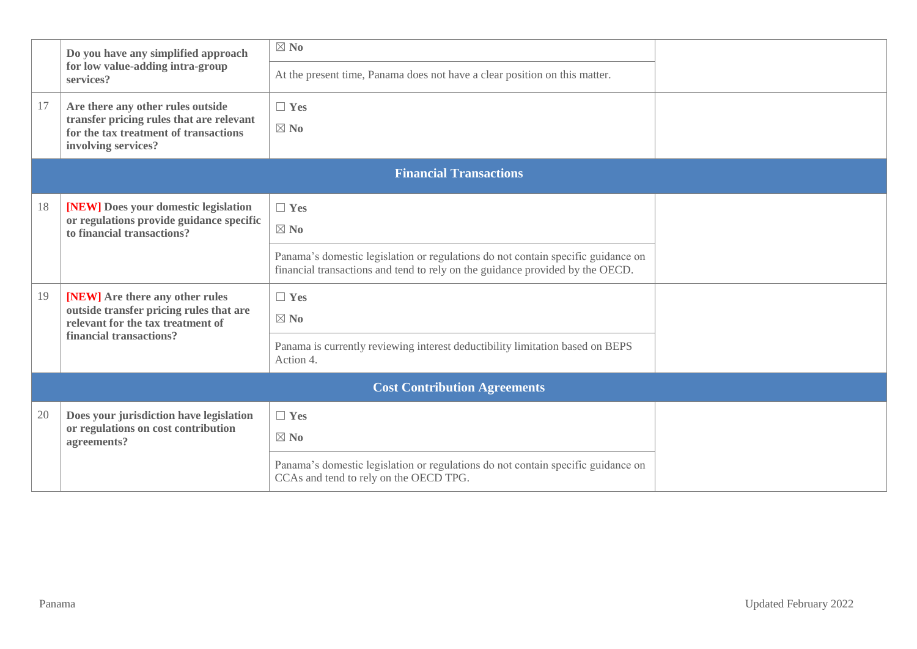|    | Do you have any simplified approach                                               | $\boxtimes$ No                                                                                                             |  |
|----|-----------------------------------------------------------------------------------|----------------------------------------------------------------------------------------------------------------------------|--|
|    | for low value-adding intra-group<br>services?                                     | At the present time, Panama does not have a clear position on this matter.                                                 |  |
| 17 | Are there any other rules outside                                                 | $\Box$ Yes                                                                                                                 |  |
|    | transfer pricing rules that are relevant<br>for the tax treatment of transactions | $\boxtimes$ No                                                                                                             |  |
|    | involving services?                                                               |                                                                                                                            |  |
|    |                                                                                   | <b>Financial Transactions</b>                                                                                              |  |
| 18 | [NEW] Does your domestic legislation                                              | $\Box$ Yes                                                                                                                 |  |
|    | or regulations provide guidance specific<br>to financial transactions?            | $\boxtimes$ No                                                                                                             |  |
|    |                                                                                   | Panama's domestic legislation or regulations do not contain specific guidance on                                           |  |
|    |                                                                                   | financial transactions and tend to rely on the guidance provided by the OECD.                                              |  |
| 19 | [NEW] Are there any other rules                                                   | $\Box$ Yes                                                                                                                 |  |
|    | outside transfer pricing rules that are<br>relevant for the tax treatment of      | $\boxtimes$ No                                                                                                             |  |
|    | financial transactions?                                                           | Panama is currently reviewing interest deductibility limitation based on BEPS                                              |  |
|    |                                                                                   | Action 4.                                                                                                                  |  |
|    |                                                                                   | <b>Cost Contribution Agreements</b>                                                                                        |  |
| 20 | Does your jurisdiction have legislation                                           | $\Box$ Yes                                                                                                                 |  |
|    | or regulations on cost contribution<br>agreements?                                | $\boxtimes$ No                                                                                                             |  |
|    |                                                                                   | Panama's domestic legislation or regulations do not contain specific guidance on<br>CCAs and tend to rely on the OECD TPG. |  |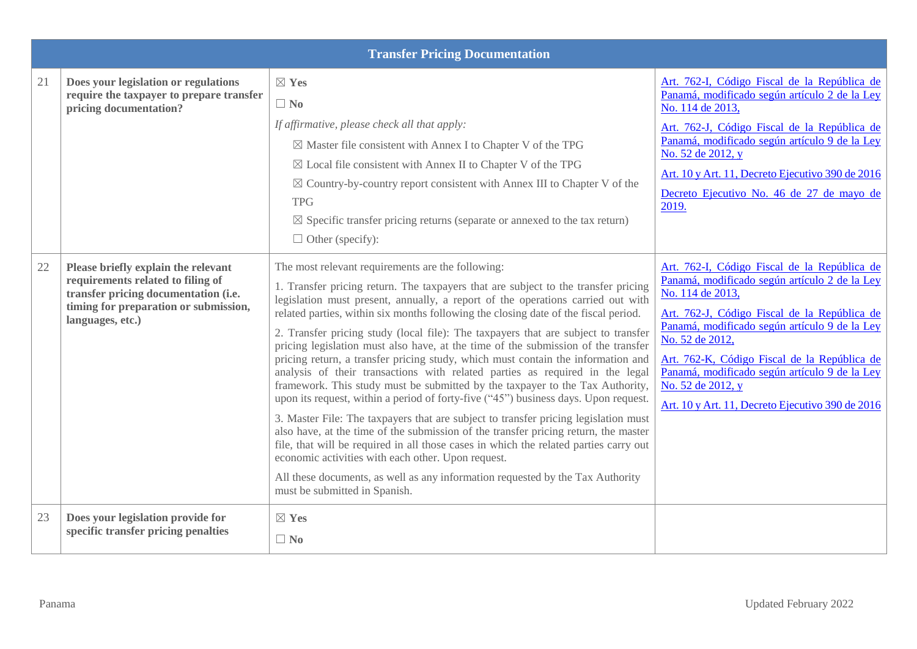|        |                                                                                                                                                                               | <b>Transfer Pricing Documentation</b>                                                                                                                                                                                                                                                                                                                                                                                                                                                                                                                                                                                                                                                                                                                                                                                                                                                                                                                                                                                                                                                                                                                                                                                                                                                    |                                                                                                                                                                                                                                                                                                                                                                                                                 |
|--------|-------------------------------------------------------------------------------------------------------------------------------------------------------------------------------|------------------------------------------------------------------------------------------------------------------------------------------------------------------------------------------------------------------------------------------------------------------------------------------------------------------------------------------------------------------------------------------------------------------------------------------------------------------------------------------------------------------------------------------------------------------------------------------------------------------------------------------------------------------------------------------------------------------------------------------------------------------------------------------------------------------------------------------------------------------------------------------------------------------------------------------------------------------------------------------------------------------------------------------------------------------------------------------------------------------------------------------------------------------------------------------------------------------------------------------------------------------------------------------|-----------------------------------------------------------------------------------------------------------------------------------------------------------------------------------------------------------------------------------------------------------------------------------------------------------------------------------------------------------------------------------------------------------------|
| 21     | Does your legislation or regulations<br>require the taxpayer to prepare transfer<br>pricing documentation?                                                                    | $\boxtimes$ Yes<br>$\Box$ No<br>If affirmative, please check all that apply:<br>$\boxtimes$ Master file consistent with Annex I to Chapter V of the TPG<br>$\boxtimes$ Local file consistent with Annex II to Chapter V of the TPG<br>$\boxtimes$ Country-by-country report consistent with Annex III to Chapter V of the<br><b>TPG</b><br>$\boxtimes$ Specific transfer pricing returns (separate or annexed to the tax return)<br>$\Box$ Other (specify):                                                                                                                                                                                                                                                                                                                                                                                                                                                                                                                                                                                                                                                                                                                                                                                                                              | Art. 762-I, Código Fiscal de la República de<br>Panamá, modificado según artículo 2 de la Ley<br>No. 114 de 2013,<br>Art. 762-J, Código Fiscal de la República de<br>Panamá, modificado según artículo 9 de la Ley<br>No. 52 de 2012, y<br>Art. 10 y Art. 11, Decreto Ejecutivo 390 de 2016<br>Decreto Ejecutivo No. 46 de 27 de mayo de<br>2019.                                                               |
| $22\,$ | Please briefly explain the relevant<br>requirements related to filing of<br>transfer pricing documentation (i.e.<br>timing for preparation or submission,<br>languages, etc.) | The most relevant requirements are the following:<br>1. Transfer pricing return. The taxpayers that are subject to the transfer pricing<br>legislation must present, annually, a report of the operations carried out with<br>related parties, within six months following the closing date of the fiscal period.<br>2. Transfer pricing study (local file): The taxpayers that are subject to transfer<br>pricing legislation must also have, at the time of the submission of the transfer<br>pricing return, a transfer pricing study, which must contain the information and<br>analysis of their transactions with related parties as required in the legal<br>framework. This study must be submitted by the taxpayer to the Tax Authority,<br>upon its request, within a period of forty-five ("45") business days. Upon request.<br>3. Master File: The taxpayers that are subject to transfer pricing legislation must<br>also have, at the time of the submission of the transfer pricing return, the master<br>file, that will be required in all those cases in which the related parties carry out<br>economic activities with each other. Upon request.<br>All these documents, as well as any information requested by the Tax Authority<br>must be submitted in Spanish. | Art. 762-I, Código Fiscal de la República de<br>Panamá, modificado según artículo 2 de la Ley<br>No. 114 de 2013,<br>Art. 762-J, Código Fiscal de la República de<br>Panamá, modificado según artículo 9 de la Ley<br>No. 52 de 2012,<br>Art. 762-K, Código Fiscal de la República de<br>Panamá, modificado según artículo 9 de la Ley<br>No. 52 de 2012, y<br>Art. 10 y Art. 11, Decreto Ejecutivo 390 de 2016 |
| 23     | Does your legislation provide for<br>specific transfer pricing penalties                                                                                                      | $\boxtimes$ Yes<br>$\Box$ No                                                                                                                                                                                                                                                                                                                                                                                                                                                                                                                                                                                                                                                                                                                                                                                                                                                                                                                                                                                                                                                                                                                                                                                                                                                             |                                                                                                                                                                                                                                                                                                                                                                                                                 |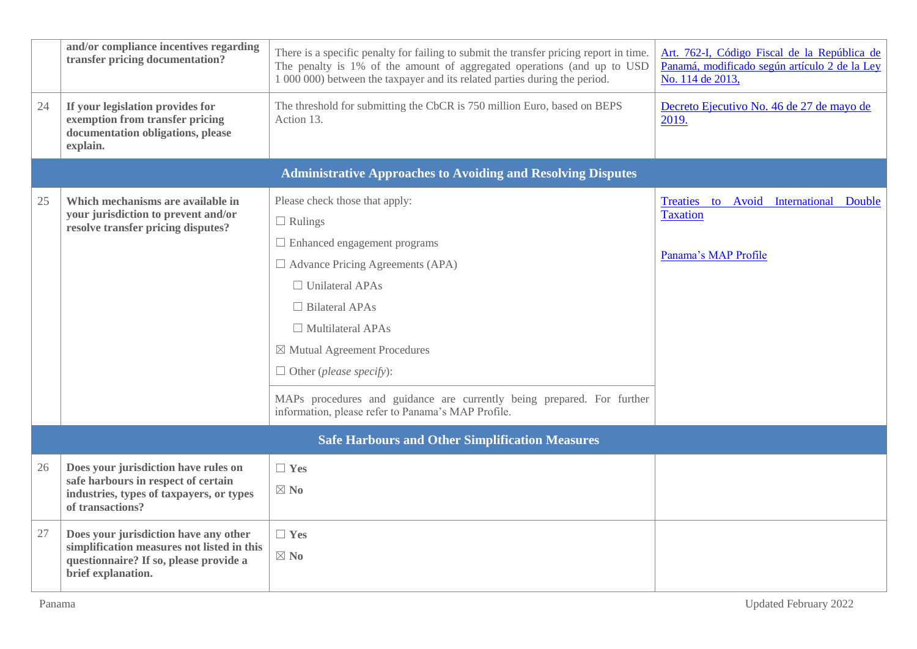|    | and/or compliance incentives regarding<br>transfer pricing documentation?                                            | There is a specific penalty for failing to submit the transfer pricing report in time.<br>The penalty is 1% of the amount of aggregated operations (and up to USD<br>1 000 000) between the taxpayer and its related parties during the period.                                                                                                                                                                                         | Art. 762-I, Código Fiscal de la República de<br>Panamá, modificado según artículo 2 de la Ley<br>No. 114 de 2013, |
|----|----------------------------------------------------------------------------------------------------------------------|-----------------------------------------------------------------------------------------------------------------------------------------------------------------------------------------------------------------------------------------------------------------------------------------------------------------------------------------------------------------------------------------------------------------------------------------|-------------------------------------------------------------------------------------------------------------------|
| 24 | If your legislation provides for<br>exemption from transfer pricing<br>documentation obligations, please<br>explain. | The threshold for submitting the CbCR is 750 million Euro, based on BEPS<br>Action 13.                                                                                                                                                                                                                                                                                                                                                  | Decreto Ejecutivo No. 46 de 27 de mayo de<br>2019.                                                                |
|    |                                                                                                                      | <b>Administrative Approaches to Avoiding and Resolving Disputes</b>                                                                                                                                                                                                                                                                                                                                                                     |                                                                                                                   |
| 25 | Which mechanisms are available in<br>your jurisdiction to prevent and/or<br>resolve transfer pricing disputes?       | Please check those that apply:<br>$\Box$ Rulings<br>$\Box$ Enhanced engagement programs<br>$\Box$ Advance Pricing Agreements (APA)<br>$\Box$ Unilateral APAs<br>$\Box$ Bilateral APAs<br>$\Box$ Multilateral APAs<br>$\boxtimes$ Mutual Agreement Procedures<br>$\Box$ Other ( <i>please specify</i> ):<br>MAPs procedures and guidance are currently being prepared. For further<br>information, please refer to Panama's MAP Profile. | Treaties to<br>Avoid<br>International<br>Double<br><b>Taxation</b><br>Panama's MAP Profile                        |
|    |                                                                                                                      | <b>Safe Harbours and Other Simplification Measures</b>                                                                                                                                                                                                                                                                                                                                                                                  |                                                                                                                   |
|    |                                                                                                                      |                                                                                                                                                                                                                                                                                                                                                                                                                                         |                                                                                                                   |
| 26 | Does your jurisdiction have rules on<br>safe harbours in respect of certain                                          | $\Box$ Yes                                                                                                                                                                                                                                                                                                                                                                                                                              |                                                                                                                   |
|    | industries, types of taxpayers, or types<br>of transactions?                                                         | $\boxtimes$ No                                                                                                                                                                                                                                                                                                                                                                                                                          |                                                                                                                   |
| 27 | Does your jurisdiction have any other                                                                                | $\Box$ Yes                                                                                                                                                                                                                                                                                                                                                                                                                              |                                                                                                                   |
|    | simplification measures not listed in this<br>questionnaire? If so, please provide a<br>brief explanation.           | $\boxtimes$ No                                                                                                                                                                                                                                                                                                                                                                                                                          |                                                                                                                   |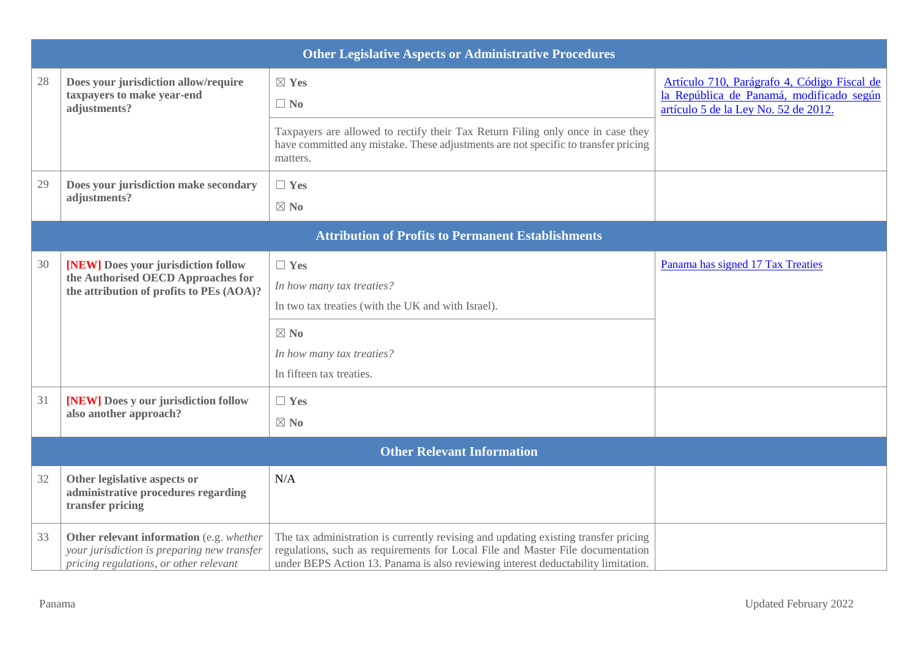|          | <b>Other Legislative Aspects or Administrative Procedures</b>                                                                                                                           |                                                                                                                                                                                                                                                            |                                                                                                                                 |  |  |  |  |  |
|----------|-----------------------------------------------------------------------------------------------------------------------------------------------------------------------------------------|------------------------------------------------------------------------------------------------------------------------------------------------------------------------------------------------------------------------------------------------------------|---------------------------------------------------------------------------------------------------------------------------------|--|--|--|--|--|
| 28       | Does your jurisdiction allow/require<br>taxpayers to make year-end<br>adjustments?                                                                                                      | $\boxtimes$ Yes<br>$\Box$ No                                                                                                                                                                                                                               | Artículo 710, Parágrafo 4, Código Fiscal de<br>la República de Panamá, modificado según<br>artículo 5 de la Ley No. 52 de 2012. |  |  |  |  |  |
|          |                                                                                                                                                                                         | Taxpayers are allowed to rectify their Tax Return Filing only once in case they<br>have committed any mistake. These adjustments are not specific to transfer pricing<br>matters.                                                                          |                                                                                                                                 |  |  |  |  |  |
| 29       | Does your jurisdiction make secondary<br>adjustments?                                                                                                                                   | $\Box$ Yes<br>$\boxtimes$ No                                                                                                                                                                                                                               |                                                                                                                                 |  |  |  |  |  |
|          |                                                                                                                                                                                         | <b>Attribution of Profits to Permanent Establishments</b>                                                                                                                                                                                                  |                                                                                                                                 |  |  |  |  |  |
| 30<br>31 | [NEW] Does your jurisdiction follow<br>the Authorised OECD Approaches for<br>the attribution of profits to PEs (AOA)?<br>[NEW] Does y our jurisdiction follow<br>also another approach? | $\Box$ Yes<br>In how many tax treaties?<br>In two tax treaties (with the UK and with Israel).<br>$\boxtimes$ No<br>In how many tax treaties?<br>In fifteen tax treaties.<br>$\Box$ Yes<br>$\boxtimes$ No                                                   | Panama has signed 17 Tax Treaties                                                                                               |  |  |  |  |  |
|          |                                                                                                                                                                                         | <b>Other Relevant Information</b>                                                                                                                                                                                                                          |                                                                                                                                 |  |  |  |  |  |
| 32       | Other legislative aspects or<br>administrative procedures regarding<br>transfer pricing                                                                                                 | N/A                                                                                                                                                                                                                                                        |                                                                                                                                 |  |  |  |  |  |
| 33       | Other relevant information (e.g. whether<br>your jurisdiction is preparing new transfer<br>pricing regulations, or other relevant                                                       | The tax administration is currently revising and updating existing transfer pricing<br>regulations, such as requirements for Local File and Master File documentation<br>under BEPS Action 13. Panama is also reviewing interest deductability limitation. |                                                                                                                                 |  |  |  |  |  |